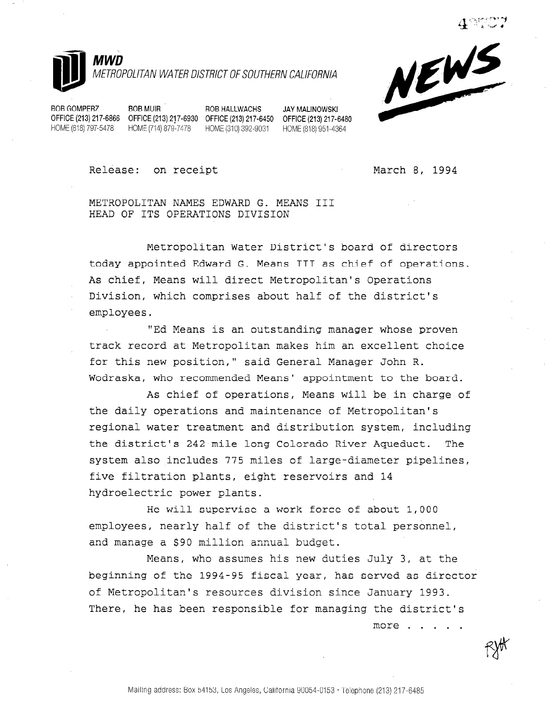



BOB GOMPERZ BOB MUIR ROB HALLWACHS JAY MALINOWSKI

HOME (818) 797-5478 HOME (714) 879-7478 HOME (310) 392-9031 HOME (818) 951-4364

OFFICE (213) 217-6866 OFFICE (213) 217-6930 OFFICE (213) 217-6450 OFFICE (213) 217-6480

Release: on receipt March 8, 1994

more . . . . .

METROPOLITAN NAMES EDWARD G. MEANS III HEAD OF ITS OPERATIONS DIVISION

Metropolitan Water District's board of directors today appointed Edward G. Means III as chief of operations. As chief, Means will direct Metropolitan's Operations Division, which comprises about half of the district's employees.

"Ed Means is an outstanding manager whose proven track record at Metropolitan makes him an excellent choice for this new position," said General Manager John R. Wodraska, who recommended Means' appointment to the board.

As chief of operations, Means will be in charge of the daily operations and maintenance of Metropolitan's regional water treatment and distribution system, including the district's 242-mile-long Colorado River Aqueduct. The system also includes 775 miles of large-diameter pipelines, five filtration plants, eight reservoirs and 14 hydroelectric power plants.

He will supervise a work force of about 1,000 employees, nearly half of the district's total personnel, and manage a \$90 million annual budget.

Means, who assumes his new duties July 3, at the beginning of the 1994-95 fiscal year, has served as director of Metropolitan's resources division since January 1993. There, he has been responsible for managing the district's